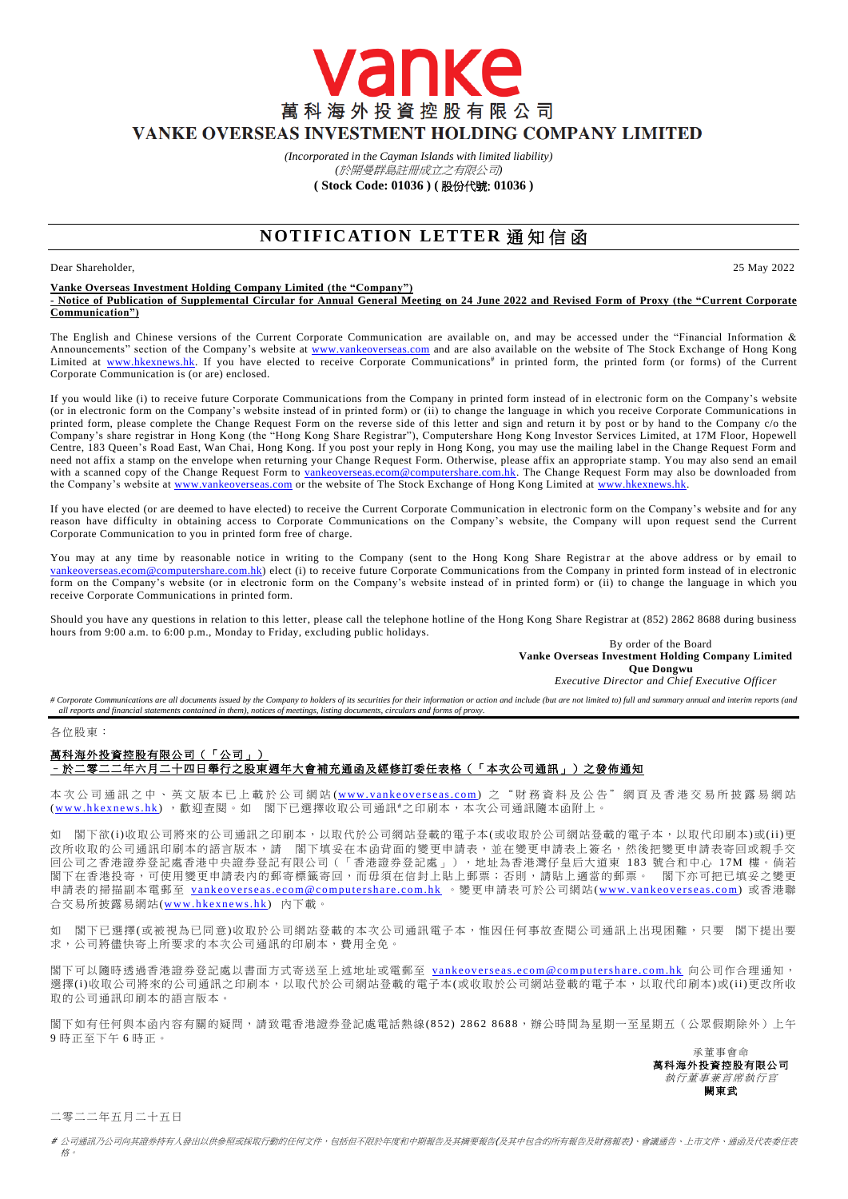萬科海外投資控股有限公司 VANKE OVERSEAS INVESTMENT HOLDING COMPANY LIMITED

> *(Incorporated in the Cayman Islands with limited liability) (*於開曼群島註冊成立之有限公司*)*

vanke

**( Stock Code: 01036 ) (** 股份代號: **01036 )**

# **NOTIFICATION LETTER 通知信函**

## Dear Shareholder, 25 May 2022

**Vanke Overseas Investment Holding Company Limited (the "Company") - Notice of Publication of Supplemental Circular for Annual General Meeting on 24 June 2022 and Revised Form of Proxy (the "Current Corporate Communication")**

The English and Chinese versions of the Current Corporate Communication are available on, and may be accessed under the "Financial Information & Announcements" section of the Company's website at [www.vankeoverseas.com](http://www.vankeoverseas.com/) and are also available on the website of The Stock Exchange of Hong Kong Limited at [www.hkexnews.hk.](http://www.hkexnews.hk/) If you have elected to receive Corporate Communications<sup>#</sup> in printed form, the printed form (or forms) of the Current Corporate Communication is (or are) enclosed.

If you would like (i) to receive future Corporate Communications from the Company in printed form instead of in electronic form on the Company's website (or in electronic form on the Company's website instead of in printed form) or (ii) to change the language in which you receive Corporate Communications in printed form, please complete the Change Request Form on the reverse side of this letter and sign and return it by post or by hand to the Company c/o the Company's share registrar in Hong Kong (the "Hong Kong Share Registrar"), Computershare Hong Kong Investor Services Limited, at 17M Floor, Hopewell Centre, 183 Queen's Road East, Wan Chai, Hong Kong. If you post your reply in Hong Kong, you may use the mailing label in the Change Request Form and need not affix a stamp on the envelope when returning your Change Request Form. Otherwise, please affix an appropriate stamp. You may also send an email with a scanned copy of the Change Request Form to [vankeoverseas.ecom@computershare.com.hk.](mailto:vankeoverseas.ecom@computershare.com.hk) The Change Request Form may also be downloaded from the Company's website a[t www.vankeoverseas.com](http://www.vankeoverseas.com/) or the website of The Stock Exchange of Hong Kong Limited at [www.hkexnews.hk.](http://www.hkexnews.hk/)

If you have elected (or are deemed to have elected) to receive the Current Corporate Communication in electronic form on the Company's website and for any reason have difficulty in obtaining access to Corporate Communications on the Company's website, the Company will upon request send the Current Corporate Communication to you in printed form free of charge.

You may at any time by reasonable notice in writing to the Company (sent to the Hong Kong Share Registrar at the above address or by email to [vankeoverseas.ecom@computershare.com.hk\)](mailto:vankeoverseas.ecom@computershare.com.hk) elect (i) to receive future Corporate Communications from the Company in printed form instead of in electronic form on the Company's website (or in electronic form on the Company's website instead of in printed form) or (ii) to change the language in which you receive Corporate Communications in printed form.

Should you have any questions in relation to this letter, please call the telephone hotline of the Hong Kong Share Registrar at (852) 2862 8688 during business hours from 9:00 a.m. to 6:00 p.m., Monday to Friday, excluding public holidays.

By order of the Board **Vanke Overseas Investment Holding Company Limited Que Dongwu**

*Executive Director and Chief Executive Officer*

# Corporate Communications are all documents issued by the Company to holders of its securities for their information or action and include (but are not limited to) full and summary annual and interim reports (and *all reports and financial statements contained in them), notices of meetings, listing documents, circulars and forms of proxy.*

## 各位股東:

## 萬科海外投資控股有限公司(「公司」) –於二零二二年六月二十四日舉行之股東週年大會補充通函及經修訂委任表格(「本次公司通訊」)之發佈通知

本 次 公 司 通 訊 之 中 、 英 文 版 本 已 上 載 於 公 司 網 站 (www.vankeoverseas.com) 之 " 財 務 資 料 及 公 告 " 網 頁 及 香 港 交 易 所 披 露 易 網 站 (www.hkexnews.hk), 歡迎查閱。如 閣下已選擇收取公司通訊#之印刷本,本次公司通訊隨本函附上。

閣下欲(i)收取公司將來的公司通訊之印刷本,以取代於公司網站登載的電子本(或收取於公司網站登載的電子本,以取代印刷本)或(ii)更 改所收取的公司通訊印刷本的語言版本,請 閣下填妥在本函背面的變更申請表,並在變更申請表上簽名,然後把變更申請表寄回或親手交 回公司之香港證券登記處香港中央證券登記有限公司(「香港證券登記處」),地址為香港灣仔皇后大道東 183 號合和中心 17M 樓。倘若 图下在香港投寄,可使用變更申請表內的郵寄標籤寄回,而毋須在信封上貼上郵票;否則,請貼上適當的郵票。 閣下亦可把已填妥之變更 申請表的掃描副本電郵至 vankeoverseas.ecom@computershare.com.hk 。變更申請表可於公司網站(www.vankeoverseas.com) 或香港聯 合交易所披露易網站(www.hkexnews.hk) 内下載。

如 閣下已選擇(或被視為已同意)收取於公司網站登載的本次公司通訊電子本,惟因任何事故查閱公司通訊上出現困難,只要 閣下提出要 求,公司將儘快寄上所要求的本次公司通訊的印刷本,費用全免。

閣下可以隨時透過香港證券登記處以書面方式寄送至上述地址或電郵至 vankeoverseas.ecom@computershare.com.hk 向公司作合理通知, 選擇(i)收取公司將來的公司通訊之印刷本,以取代於公司網站登載的電子本(或收取於公司網站登載的電子本,以取代印刷本)或(ii)更改所收 取的公司通訊印刷本的語言版本。

閣下如有任何與本函內容有關的疑問,請致電香港證券登記處電話熱線( 852) 2862 8688,辦公時間為星期一至星期五(公眾假期除外)上午 9 時正至下午 6 時正。

> 承董事會命 萬科海外投資控股有限公司 執行董事兼首席執行官 闕東武

二零二二年五月二十五日

# 公司通訊乃公司向其證券持有人發出以供參照或採取行動的任何文件,包括但不限於年度和中期報告及其摘要報告(及其中包含的所有報告及財務報表)、會議通告、上市文件、通函及代表委任表 格。